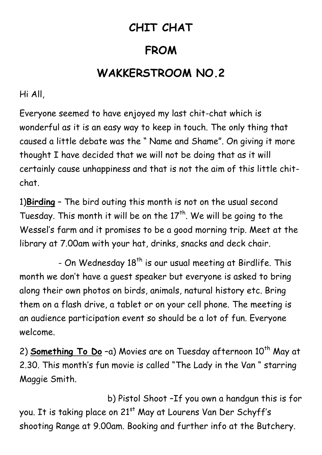## **CHIT CHAT**

## **FROM**

## **WAKKERSTROOM NO.2**

Hi All,

Everyone seemed to have enjoyed my last chit-chat which is wonderful as it is an easy way to keep in touch. The only thing that caused a little debate was the " Name and Shame". On giving it more thought I have decided that we will not be doing that as it will certainly cause unhappiness and that is not the aim of this little chitchat.

1)**Birding** – The bird outing this month is not on the usual second Tuesday. This month it will be on the  $17<sup>th</sup>$ . We will be going to the Wessel's farm and it promises to be a good morning trip. Meet at the library at 7.00am with your hat, drinks, snacks and deck chair.

- On Wednesday  $18<sup>th</sup>$  is our usual meeting at Birdlife. This month we don't have a guest speaker but everyone is asked to bring along their own photos on birds, animals, natural history etc. Bring them on a flash drive, a tablet or on your cell phone. The meeting is an audience participation event so should be a lot of fun. Everyone welcome.

2) **Something To Do** -a) Movies are on Tuesday afternoon 10<sup>th</sup> May at 2.30. This month's fun movie is called "The Lady in the Van " starring Maggie Smith.

 b) Pistol Shoot –If you own a handgun this is for you. It is taking place on 21<sup>st</sup> May at Lourens Van Der Schyff's shooting Range at 9.00am. Booking and further info at the Butchery.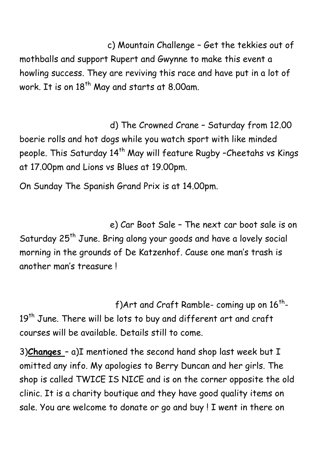c) Mountain Challenge – Get the tekkies out of mothballs and support Rupert and Gwynne to make this event a howling success. They are reviving this race and have put in a lot of work. It is on 18<sup>th</sup> May and starts at 8.00am.

 d) The Crowned Crane – Saturday from 12.00 boerie rolls and hot dogs while you watch sport with like minded people. This Saturday 14<sup>th</sup> May will feature Rugby -Cheetahs vs Kings at 17.00pm and Lions vs Blues at 19.00pm.

On Sunday The Spanish Grand Prix is at 14.00pm.

 e) Car Boot Sale – The next car boot sale is on Saturday 25<sup>th</sup> June. Bring along your goods and have a lovely social morning in the grounds of De Katzenhof. Cause one man's trash is another man's treasure !

 $f$ )Art and Craft Ramble- coming up on  $16^\mathrm{th}$ -19<sup>th</sup> June. There will be lots to buy and different art and craft courses will be available. Details still to come.

3)**Changes** – a)I mentioned the second hand shop last week but I omitted any info. My apologies to Berry Duncan and her girls. The shop is called TWICE IS NICE and is on the corner opposite the old clinic. It is a charity boutique and they have good quality items on sale. You are welcome to donate or go and buy ! I went in there on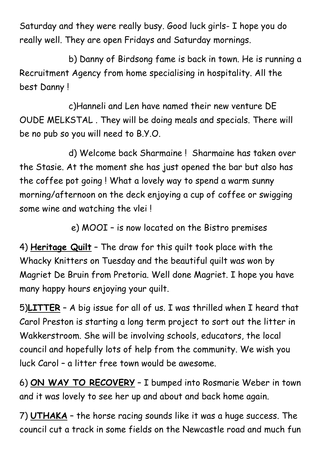Saturday and they were really busy. Good luck girls- I hope you do really well. They are open Fridays and Saturday mornings.

 b) Danny of Birdsong fame is back in town. He is running a Recruitment Agency from home specialising in hospitality. All the best Danny !

 c)Hanneli and Len have named their new venture DE OUDE MELKSTAL . They will be doing meals and specials. There will be no pub so you will need to B.Y.O.

 d) Welcome back Sharmaine ! Sharmaine has taken over the Stasie. At the moment she has just opened the bar but also has the coffee pot going ! What a lovely way to spend a warm sunny morning/afternoon on the deck enjoying a cup of coffee or swigging some wine and watching the vlei !

e) MOOI – is now located on the Bistro premises

4) **Heritage Quilt** – The draw for this quilt took place with the Whacky Knitters on Tuesday and the beautiful quilt was won by Magriet De Bruin from Pretoria. Well done Magriet. I hope you have many happy hours enjoying your quilt.

5)**LITTER** – A big issue for all of us. I was thrilled when I heard that Carol Preston is starting a long term project to sort out the litter in Wakkerstroom. She will be involving schools, educators, the local council and hopefully lots of help from the community. We wish you luck Carol – a litter free town would be awesome.

6) **ON WAY TO RECOVERY** – I bumped into Rosmarie Weber in town and it was lovely to see her up and about and back home again.

7) **UTHAKA** – the horse racing sounds like it was a huge success. The council cut a track in some fields on the Newcastle road and much fun